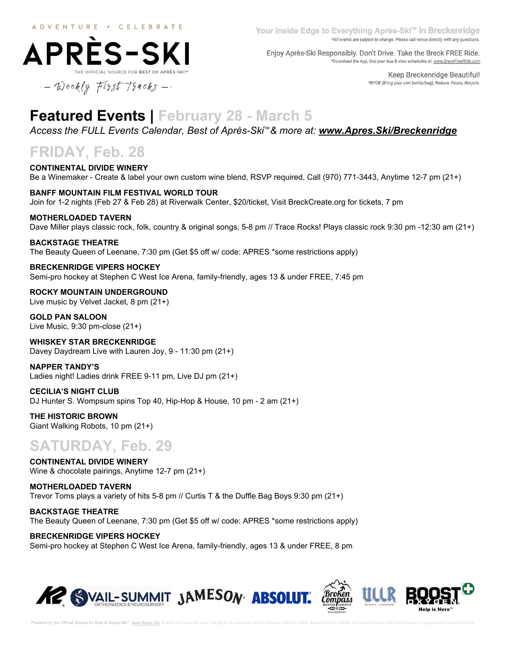**APRES-SKI** 



Enjoy Après-Ski Responsibly. Don't Drive. Take the Breck FREE Ride. \*Download the App, find your bus & view schedules at: www.BreckFreeRide.com

> Keep Breckenridge Beautiful! \*BYOB (Bring your own bottle/bag), Reduce, Reuse, Recycle.

 $-$  Weekly First Tracks -

# **Featured Events | February 28 - March 5**

*[Access the FULL Events Calendar, Best of Après-Ski](http://www.apres.ski/Breckenridge)*[™](http://www.apres.ski/Breckenridge)*[& more at:](http://www.apres.ski/Breckenridge) [www.Apres.Ski/Breckenridge](http://www.apres.ski/Breckenridge)*

# **FRIDAY, Feb. 28**

**CONTINENTAL DIVIDE WINERY** Be a Winemaker - Create & label your own custom wine blend, RSVP required, Call (970) 771-3443, Anytime 12-7 pm (21+)

**BANFF MOUNTAIN FILM FESTIVAL WORLD TOUR** Join for 1-2 nights (Feb 27 & Feb 28) at Riverwalk Center, \$20/ticket, Visit BreckCreate.org for tickets, 7 pm

#### **MOTHERLOADED TAVERN**

Dave Miller plays classic rock, folk, country & original songs, 5-8 pm // Trace Rocks! Plays classic rock 9:30 pm -12:30 am (21+)

**BACKSTAGE THEATRE**

The Beauty Queen of Leenane, 7:30 pm (Get \$5 off w/ code: APRES \*some restrictions apply)

#### **BRECKENRIDGE VIPERS HOCKEY**

Semi-pro hockey at Stephen C West Ice Arena, family-friendly, ages 13 & under FREE, 7:45 pm

**ROCKY MOUNTAIN UNDERGROUND** Live music by Velvet Jacket, 8 pm (21+)

**GOLD PAN SALOON** Live Music, 9:30 pm-close (21+)

**WHISKEY STAR BRECKENRIDGE** Davey Daydream Live with Lauren Joy, 9 - 11:30 pm (21+)

**NAPPER TANDY'S** Ladies night! Ladies drink FREE 9-11 pm, Live DJ pm (21+)

#### **CECILIA'S NIGHT CLUB**

DJ Hunter S. Wompsum spins Top 40, Hip-Hop & House, 10 pm - 2 am (21+)

**THE HISTORIC BROWN** Giant Walking Robots, 10 pm (21+)

# **SATURDAY, Feb. 29**

**CONTINENTAL DIVIDE WINERY** Wine & chocolate pairings, Anytime 12-7 pm (21+)

**MOTHERLOADED TAVERN** Trevor Toms plays a variety of hits 5-8 pm // Curtis T & the Duffle Bag Boys 9:30 pm (21+)

**BACKSTAGE THEATRE** The Beauty Queen of Leenane, 7:30 pm (Get \$5 off w/ code: APRES \*some restrictions apply)

**BRECKENRIDGE VIPERS HOCKEY** Semi-pro hockey at Stephen C West Ice Arena, family-friendly, ages 13 & under FREE, 8 pm

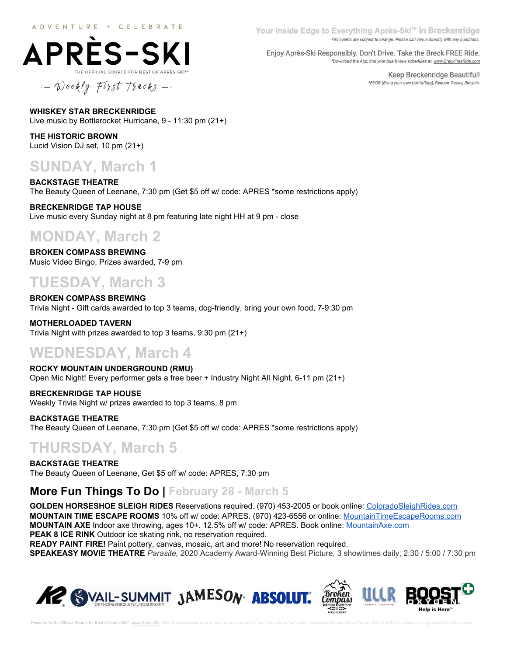

Your Inside Edge to Everything Après-Ski™ in Breckenridge \*All events are subject to change. Please call venue directly with any questions.

Enjoy Après-Ski Responsibly. Don't Drive. Take the Breck FREE Ride. \*Download the App, find your bus & view schedules at: www.BreckFreeRide.com

> Keep Breckenridge Beautiful! \*BYOB (Bring your own bottle/bag), Reduce, Reuse, Recycle.

**WHISKEY STAR BRECKENRIDGE** Live music by Bottlerocket Hurricane, 9 - 11:30 pm (21+)

**THE HISTORIC BROWN** Lucid Vision DJ set, 10 pm (21+)

# **SUNDAY, March 1**

**BACKSTAGE THEATRE** The Beauty Queen of Leenane, 7:30 pm (Get \$5 off w/ code: APRES \*some restrictions apply)

**BRECKENRIDGE TAP HOUSE** Live music every Sunday night at 8 pm featuring late night HH at 9 pm - close

# **MONDAY, March 2**

**BROKEN COMPASS BREWING** Music Video Bingo, Prizes awarded, 7-9 pm

# **TUESDAY, March 3**

**BROKEN COMPASS BREWING** Trivia Night - Gift cards awarded to top 3 teams, dog-friendly, bring your own food, 7-9:30 pm

**MOTHERLOADED TAVERN** Trivia Night with prizes awarded to top 3 teams, 9:30 pm (21+)

# **WEDNESDAY, March 4**

**ROCKY MOUNTAIN UNDERGROUND (RMU)** Open Mic Night! Every performer gets a free beer + Industry Night All Night, 6-11 pm (21+)

**BRECKENRIDGE TAP HOUSE** Weekly Trivia Night w/ prizes awarded to top 3 teams, 8 pm

**BACKSTAGE THEATRE** The Beauty Queen of Leenane, 7:30 pm (Get \$5 off w/ code: APRES \*some restrictions apply)

# **THURSDAY, March 5**

**BACKSTAGE THEATRE** The Beauty Queen of Leenane, Get \$5 off w/ code: APRES, 7:30 pm

## **More Fun Things To Do | February 28 - March 5**

**GOLDEN HORSESHOE SLEIGH RIDES** Reservations required. (970) 453-2005 or book online: [ColoradoSleighRides.com](http://coloradosleighrides.com/) **MOUNTAIN TIME ESCAPE ROOMS** 10% off w/ code: APRES. (970) 423-6556 or online: [MountainTimeEscapeRooms.com](http://mountaintimeescaperooms.com/) **MOUNTAIN AXE** Indoor axe throwing, ages 10+. 12.5% off w/ code: APRES. Book online: [MountainAxe.com](http://mountainaxe.com/) **PEAK 8 ICE RINK** Outdoor ice skating rink, no reservation required.

**READY PAINT FIRE!** Paint pottery, canvas, mosaic, art and more! No reservation required.

**SPEAKEASY MOVIE THEATRE** *Parasite,* 2020 Academy Award-Winning Best Picture, 3 showtimes daily, 2:30 / 5:00 / 7:30 pm